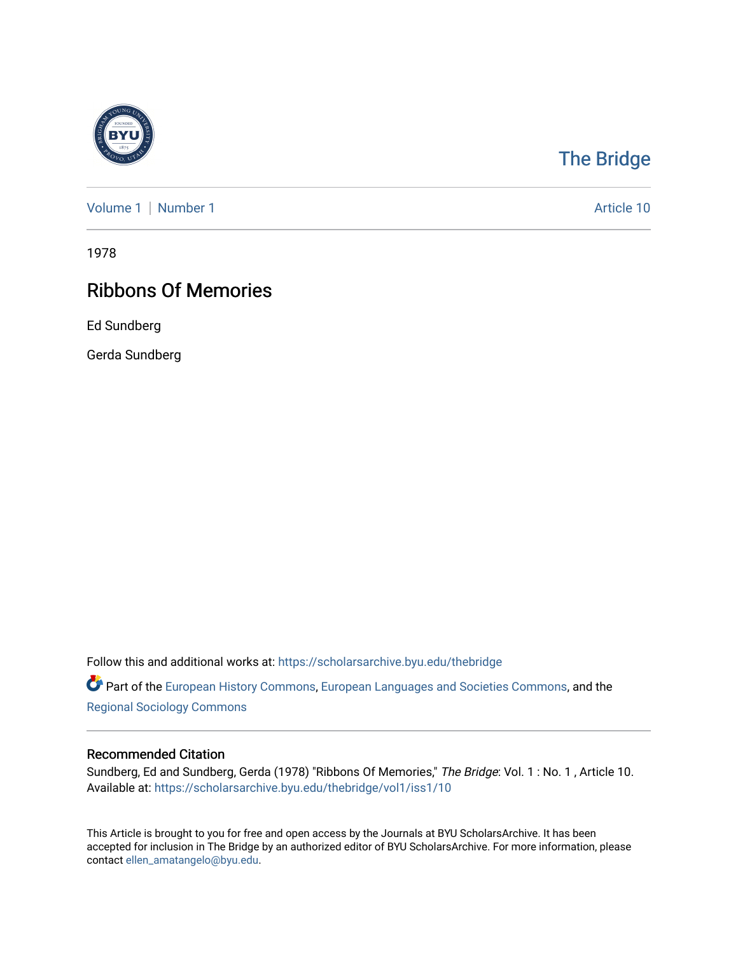

## [The Bridge](https://scholarsarchive.byu.edu/thebridge)

[Volume 1](https://scholarsarchive.byu.edu/thebridge/vol1) | [Number 1](https://scholarsarchive.byu.edu/thebridge/vol1/iss1) Article 10

1978

# Ribbons Of Memories

Ed Sundberg

Gerda Sundberg

Follow this and additional works at: [https://scholarsarchive.byu.edu/thebridge](https://scholarsarchive.byu.edu/thebridge?utm_source=scholarsarchive.byu.edu%2Fthebridge%2Fvol1%2Fiss1%2F10&utm_medium=PDF&utm_campaign=PDFCoverPages) 

**Part of the [European History Commons](http://network.bepress.com/hgg/discipline/492?utm_source=scholarsarchive.byu.edu%2Fthebridge%2Fvol1%2Fiss1%2F10&utm_medium=PDF&utm_campaign=PDFCoverPages), [European Languages and Societies Commons,](http://network.bepress.com/hgg/discipline/482?utm_source=scholarsarchive.byu.edu%2Fthebridge%2Fvol1%2Fiss1%2F10&utm_medium=PDF&utm_campaign=PDFCoverPages) and the** [Regional Sociology Commons](http://network.bepress.com/hgg/discipline/427?utm_source=scholarsarchive.byu.edu%2Fthebridge%2Fvol1%2Fiss1%2F10&utm_medium=PDF&utm_campaign=PDFCoverPages) 

### Recommended Citation

Sundberg, Ed and Sundberg, Gerda (1978) "Ribbons Of Memories," The Bridge: Vol. 1 : No. 1 , Article 10. Available at: [https://scholarsarchive.byu.edu/thebridge/vol1/iss1/10](https://scholarsarchive.byu.edu/thebridge/vol1/iss1/10?utm_source=scholarsarchive.byu.edu%2Fthebridge%2Fvol1%2Fiss1%2F10&utm_medium=PDF&utm_campaign=PDFCoverPages) 

This Article is brought to you for free and open access by the Journals at BYU ScholarsArchive. It has been accepted for inclusion in The Bridge by an authorized editor of BYU ScholarsArchive. For more information, please contact [ellen\\_amatangelo@byu.edu.](mailto:ellen_amatangelo@byu.edu)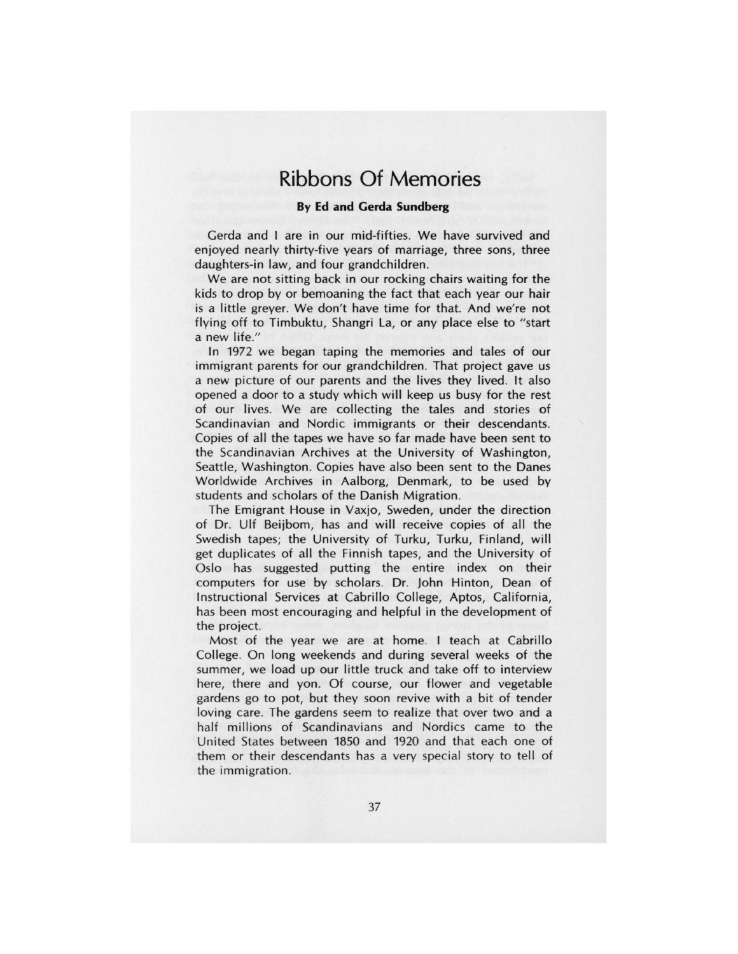## **Ribbons Of Memories**

#### **By Ed and Gerda Sundberg**

Gerda and I are in our mid-fifties. We have survived and enjoyed nearly thirty-five years of marriage, three sons, three daughters-in law, and four grandchildren.

We are not sitting back in our rocking chairs waiting for the kids to drop by or bemoaning the fact that each year our hair is a little greyer. We don't have time for that. And we're not flying off to Timbuktu, Shangri La, or any place else to "start a new life."

In 1972 we began taping the memories and tales of our immigrant parents for our grandchildren. That project gave us a new picture of our parents and the lives they lived. It also opened a door to a study which will keep us busy for the rest of our lives. We are collecting the tales and stories of Scandinavian and Nordic immigrants or their descendants. Copies of all the tapes we have so far made have been sent to the Scandinavian Archives at the University of Washington, Seattle, Washington. Copies have also been sent to the Danes Worldwide Archives in Aalborg, Denmark, to be used by students and scholars of the Danish Migration.

The Emigrant House in Vaxjo, Sweden, under the direction of Dr. Ulf Beijbom, has and will receive copies of all the Swedish tapes; the University of Turku, Turku, Finland, will get duplicates of all the Finnish tapes, and the University of Oslo has suggested putting the entire index on their computers for use by scholars. Dr. John Hinton, Dean of Instructional Services at Cabrillo College, Aptos, California, has been most encouraging and helpful in the development of the project.

Most of the year we are at home. I teach at Cabrillo College. On long weekends and during several weeks of the summer, we load up our little truck and take off to interview here, there and yon. Of course, our flower and vegetable gardens go to pot, but they soon revive with a bit of tender loving care. The gardens seem to realize that over two and a half millions of Scandinavians and Nordics came to the United States between 1850 and 1920 and that each one of them or their descendants has a very special story to tell of the immigration.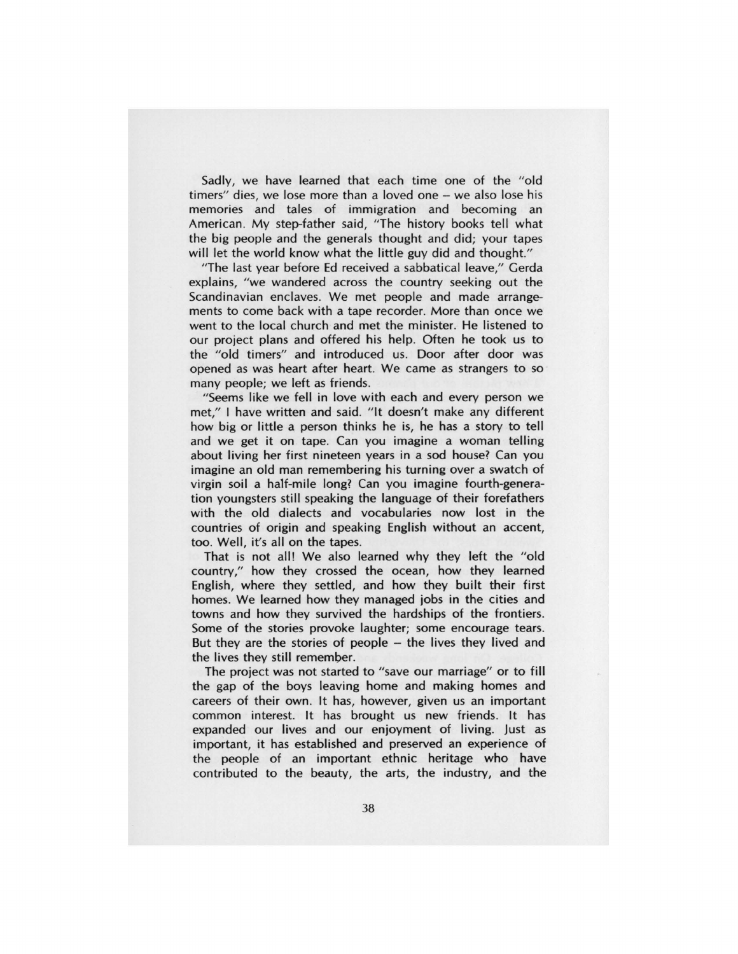Sadly, we have learned that each time one of the "old timers" dies, we lose more than a loved one - we also lose his memories and tales of immigration and becoming an American. My step-father said, "The history books tell what the big people and the generals thought and did; your tapes will let the world know what the little guy did and thought."

"The last year before Ed received a sabbatical leave," Gerda explains, "we wandered across the country seeking out the Scandinavian enclaves. We met people and made arrangements to come back with a tape recorder. More than once we went to the local church and met the minister. He listened to our project plans and offered his help. Often he took us to the "old timers" and introduced us. Door after door was opened as was heart after heart. We came as strangers to so many people; we left as friends.

" Seems like we fell in love with each and every person we met," I have written and said. "It doesn't make any different how big or little a person thinks he is, he has a story to tell and we get it on tape. Can you imagine a woman telling about living her first nineteen years in a sod house? Can you imagine an old man remembering his turning over a swatch of virgin soil a half-mile long? Can you imagine fourth-generation youngsters still speaking the language of their forefathers with the old dialects and vocabularies now lost in the countries of origin and speaking English without an accent, too. Well, it's all on the tapes.

That is not all! We also learned why they left the "old country," how they crossed the ocean, how they learned English, where they settled, and how they built their first homes. We learned how they managed jobs in the cities and towns and how they survived the hardships of the frontiers. Some of the stories provoke laughter; some encourage tears. But they are the stories of people – the lives they lived and the lives they still remember.

The project was not started to "save our marriage" or to fill the gap of the boys leaving home and making homes and careers of their own. It has, however, given us an important common interest. It has brought us new friends. It has expanded our lives and our enjoyment of living. Just as important, it has established and preserved an experience of the people of an important ethnic heritage who have contributed to the beauty, the arts, the industry, and the